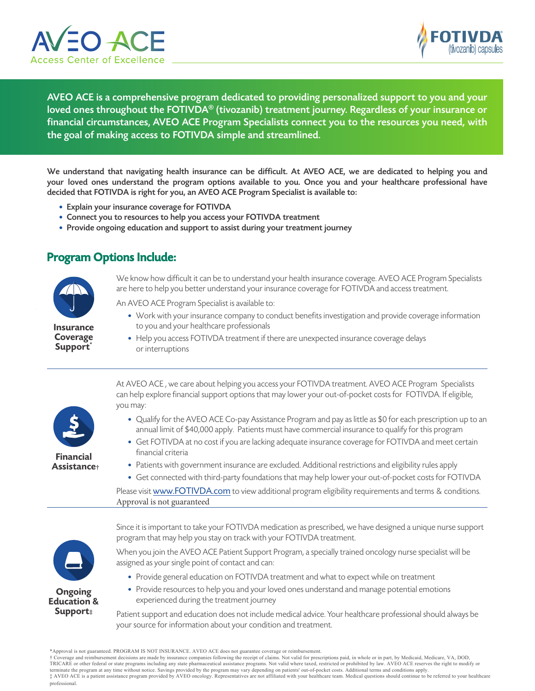



AVEO ACE is a comprehensive program dedicated to providing personalized support to you and your loved ones throughout the FOTIVDA® (tivozanib) treatment journey. Regardless of your insurance or financial circumstances, AVEO ACE Program Specialists connect you to the resources you need, with the goal of making access to FOTIVDA simple and streamlined.

We understand that navigating health insurance can be difficult. At AVEO ACE, we are dedicated to helping you and your loved ones understand the program options available to you. Once you and your healthcare professional have decided that FOTIVDA is right for you, an AVEO ACE Program Specialist is available to:

- Explain your insurance coverage for FOTIVDA
- Connect you to resources to help you access your FOTIVDA treatment
- Provide ongoing education and support to assist during your treatment journey

#### Program Options Include:



Insurance Coverage Support<sup>\*</sup>

We know how difficult it can be to understand your health insurance coverage. AVEO ACE Program Specialists are here to help you better understand your insurance coverage for FOTIVDA and access treatment.

- An AVEO ACE Program Specialist is available to:
	- Work with your insurance company to conduct benefits investigation and provide coverage information to you and your healthcare professionals
	- Help you access FOTIVDA treatment if there are unexpected insurance coverage delays or interruptions



At AVEO ACE , we care about helping you access your FOTIVDA treatment. AVEO ACE Program Specialists can help explore financial support options that may lower your out-of-pocket costs for FOTIVDA. If eligible, you may:

- Qualify for the AVEO ACE Co-pay Assistance Program and pay as little as \$0 for each prescription up to an annual limit of \$40,000 apply. Patients must have commercial insurance to qualify for this program
- Get FOTIVDA at no cost if you are lacking adequate insurance coverage for FOTIVDA and meet certain financial criteria
- Patients with government insurance are excluded. Additional restrictions and eligibility rules apply
- Get connected with third-party foundations that may help lower your out-of-pocket costs for FOTIVDA

Please visit www.FOTIVDA.com to view additional program eligibility requirements and terms & conditions. Approval is not guaranteed



Since it is important to take your FOTIVDA medication as prescribed, we have designed a unique nurse support program that may help you stay on track with your FOTIVDA treatment.

When you join the AVEO ACE Patient Support Program, a specially trained oncology nurse specialist will be assigned as your single point of contact and can:

- Provide general education on FOTIVDA treatment and what to expect while on treatment
- Provide resources to help you and your loved ones understand and manage potential emotions experienced during the treatment journey

Patient support and education does not include medical advice. Your healthcare professional should always be your source for information about your condition and treatment.

† Coverage and reimbursement decisions are made by insurance companies following the receipt of claims. Not valid for prescriptions paid, in whole or in part, by Medicaid, Medicare, VA, DOD,<br>TRICARE or other federal or sta

terminate the program at any time without notice. Savings provided by the program may vary depending on patients' out-of-pocket costs. Additional terms and conditions apply. ‡ AVEO ACE is a patient assistance program provided by AVEO oncology. Representatives are not affiliated with your healthcare team. Medical questions should continue to be referred to your healthcare professional.

<sup>\*</sup>Approval is not guaranteed. PROGRAM IS NOT INSURANCE. AVEO ACE does not guarantee coverage or reimbursement.